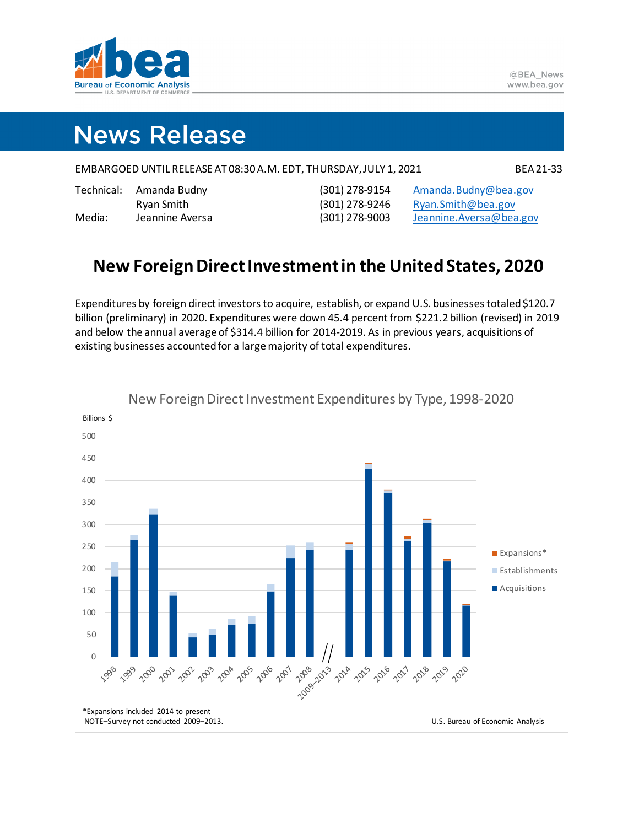

## **News Release**

|                                                                                                                                                                                                                                | EMBARGOED UNTIL RELEASE AT 08:30 A.M. EDT, THURSDAY, JULY 1, 2021 | <b>BEA 21-33</b>                                     |
|--------------------------------------------------------------------------------------------------------------------------------------------------------------------------------------------------------------------------------|-------------------------------------------------------------------|------------------------------------------------------|
| The state of the Association of the Contract of the Contract of the Contract of the Contract of the Contract of the Contract of the Contract of the Contract of the Contract of the Contract of the Contract of the Contract o | $(201)$ $270$ $2151$                                              | <b>A</b> consider <b>n</b> de <b>Al</b> en Alexandre |

| Technical: | Amanda Budny    |
|------------|-----------------|
|            | Ryan Smith      |
| Media:     | Jeannine Aversa |

(301) 278-9154 (301) 278-9246 sa (301) 278-9003 [Jeannine.Aversa@bea.gov](mailto:Jeannine.Aversa@bea.gov)

[Amanda.Budny@bea.gov](mailto:Amanda.Budny@bea.gov) [Ryan.Smith@bea.gov](mailto:ryan.smith@bea.gov)

## **New Foreign Direct Investment in the United States, 2020**

Expenditures by foreign direct investors to acquire, establish, or expand U.S. businesses totaled \$120.7 billion (preliminary) in 2020. Expenditures were down 45.4 percent from \$221.2 billion (revised) in 2019 and below the annual average of \$314.4 billion for 2014-2019. As in previous years, acquisitions of existing businesses accounted for a large majority of total expenditures.

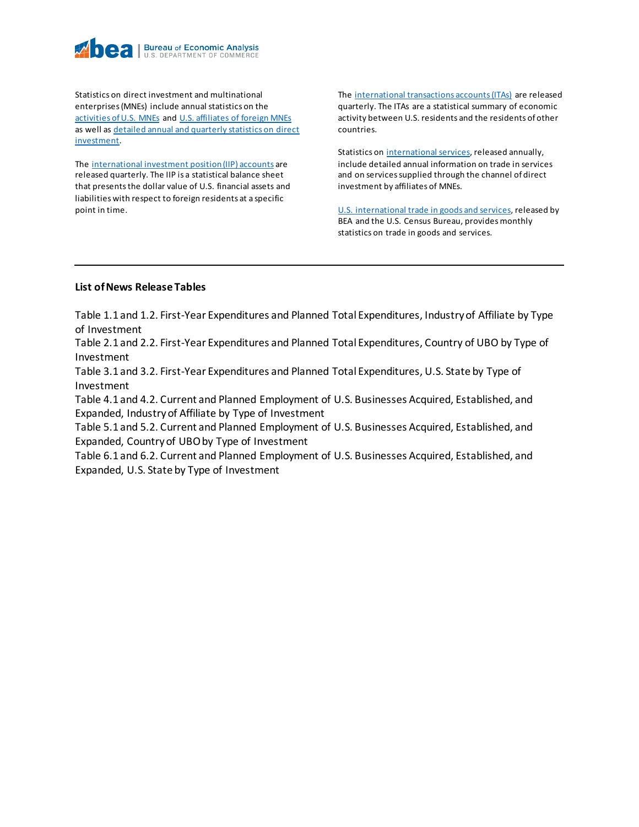

Statistics on direct investment and multinational enterprises (MNEs) include annual statistics on the [activities of U.S. MNEs](https://www.bea.gov/data/intl-trade-investment/activities-us-multinational-enterprises-mnes) an[d U.S. affiliates of foreign MNEs](https://www.bea.gov/data/intl-trade-investment/activities-us-affiliates-foreign-mnes) as well as [detailed annual and quarterly statistics on direct](https://www.bea.gov/products/direct-investment-country-and-industry)  [investment.](https://www.bea.gov/products/direct-investment-country-and-industry)

Th[e international investment position \(IIP\) accounts](https://www.bea.gov/data/intl-trade-investment/international-investment-position) are released quarterly. The IIP is a statistical balance sheet that presents the dollar value of U.S. financial assets and liabilities with respect to foreign residents at a specific point in time.

Th[e international transactions accounts \(ITAs\)](https://www.bea.gov/data/intl-trade-investment/international-transactions) are released quarterly. The ITAs are a statistical summary of economic activity between U.S. residents and the residents of other countries.

Statistics on [international services,](https://www.bea.gov/data/intl-trade-investment/international-services-expanded) released annually, include detailed annual information on trade in services and on services supplied through the channel of direct investment by affiliates of MNEs.

[U.S. international trade in goods and services,](https://www.bea.gov/data/intl-trade-investment/international-trade-goods-and-services) released by BEA and the U.S. Census Bureau, provides monthly statistics on trade in goods and services.

## **List of News Release Tables**

Table 1.1 and 1.2. First-Year Expenditures and Planned Total Expenditures, Industry of Affiliate by Type of Investment

Table 2.1 and 2.2. First-Year Expenditures and Planned Total Expenditures, Country of UBO by Type of Investment

Table 3.1 and 3.2. First-Year Expenditures and Planned Total Expenditures, U.S. State by Type of Investment

Table 4.1 and 4.2. Current and Planned Employment of U.S. Businesses Acquired, Established, and Expanded, Industry of Affiliate by Type of Investment

Table 5.1 and 5.2. Current and Planned Employment of U.S. Businesses Acquired, Established, and Expanded, Country of UBO by Type of Investment

Table 6.1 and 6.2. Current and Planned Employment of U.S. Businesses Acquired, Established, and Expanded, U.S. State by Type of Investment